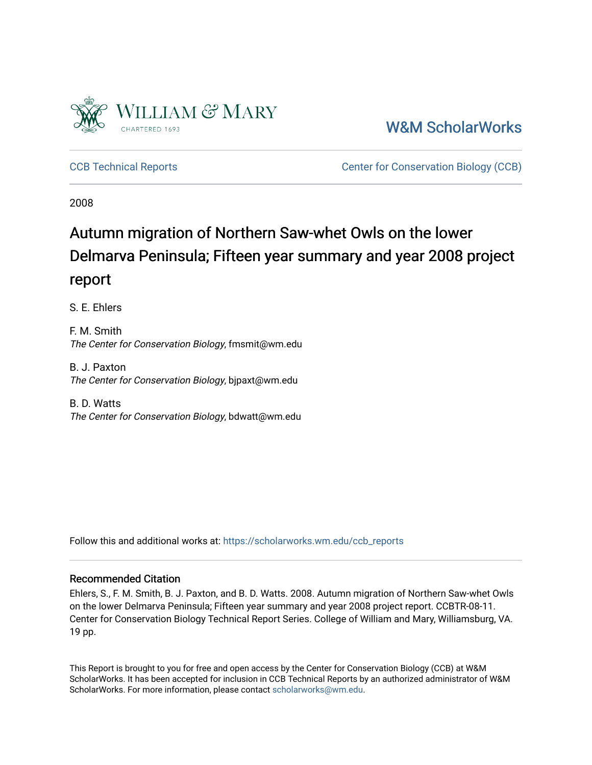

[W&M ScholarWorks](https://scholarworks.wm.edu/) 

[CCB Technical Reports](https://scholarworks.wm.edu/ccb_reports) [Center for Conservation Biology \(CCB\)](https://scholarworks.wm.edu/ccb) 

2008

# Autumn migration of Northern Saw-whet Owls on the lower Delmarva Peninsula; Fifteen year summary and year 2008 project report

S. E. Ehlers

F. M. Smith The Center for Conservation Biology, fmsmit@wm.edu

B. J. Paxton The Center for Conservation Biology, bjpaxt@wm.edu

B. D. Watts The Center for Conservation Biology, bdwatt@wm.edu

Follow this and additional works at: [https://scholarworks.wm.edu/ccb\\_reports](https://scholarworks.wm.edu/ccb_reports?utm_source=scholarworks.wm.edu%2Fccb_reports%2F362&utm_medium=PDF&utm_campaign=PDFCoverPages) 

#### Recommended Citation

Ehlers, S., F. M. Smith, B. J. Paxton, and B. D. Watts. 2008. Autumn migration of Northern Saw-whet Owls on the lower Delmarva Peninsula; Fifteen year summary and year 2008 project report. CCBTR-08-11. Center for Conservation Biology Technical Report Series. College of William and Mary, Williamsburg, VA. 19 pp.

This Report is brought to you for free and open access by the Center for Conservation Biology (CCB) at W&M ScholarWorks. It has been accepted for inclusion in CCB Technical Reports by an authorized administrator of W&M ScholarWorks. For more information, please contact [scholarworks@wm.edu.](mailto:scholarworks@wm.edu)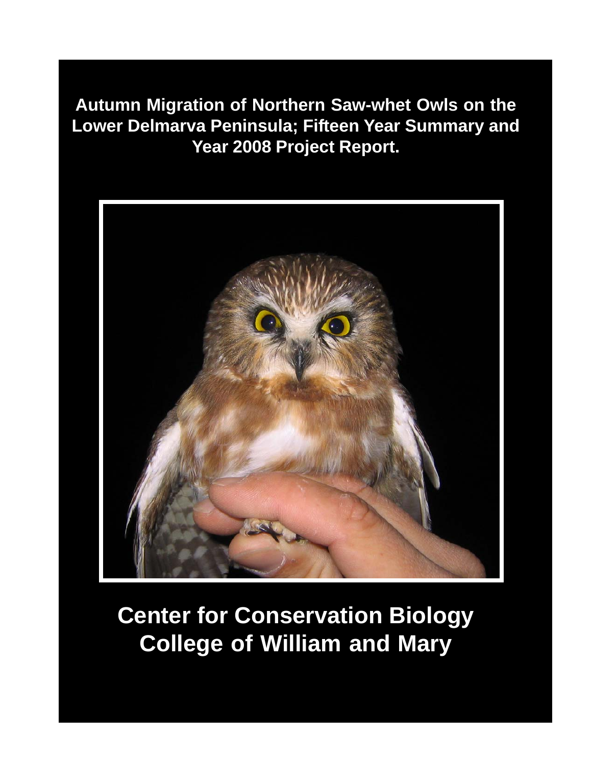**Autumn Migration of Northern Saw-whet Owls on the Lower Delmarva Peninsula; Fifteen Year Summary and Year 2008 Project Report.**



# **Center for Conservation Biology College of William and Mary**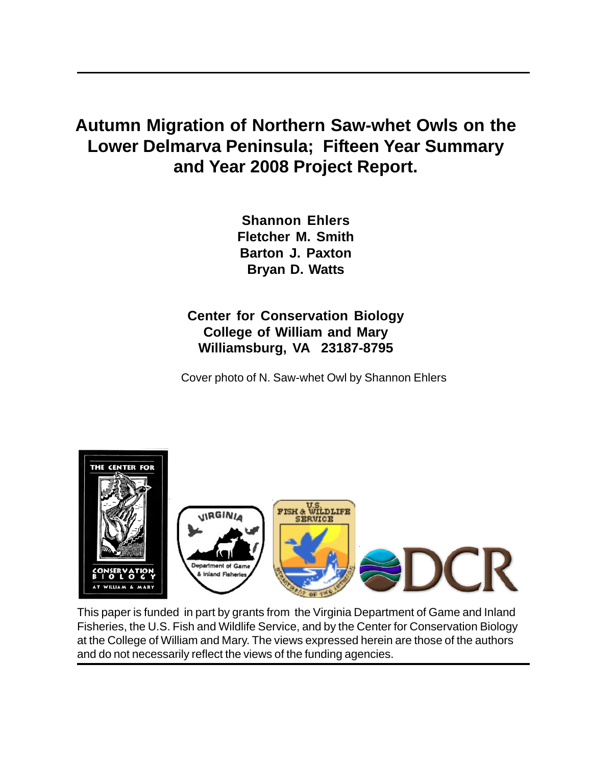# **Autumn Migration of Northern Saw-whet Owls on the Lower Delmarva Peninsula; Fifteen Year Summary and Year 2008 Project Report.**

**Shannon Ehlers Fletcher M. Smith Barton J. Paxton Bryan D. Watts**

## **Center for Conservation Biology College of William and Mary Williamsburg, VA 23187-8795**

Cover photo of N. Saw-whet Owl by Shannon Ehlers



This paper is funded in part by grants from the Virginia Department of Game and Inland Fisheries, the U.S. Fish and Wildlife Service, and by the Center for Conservation Biology at the College of William and Mary. The views expressed herein are those of the authors and do not necessarily reflect the views of the funding agencies.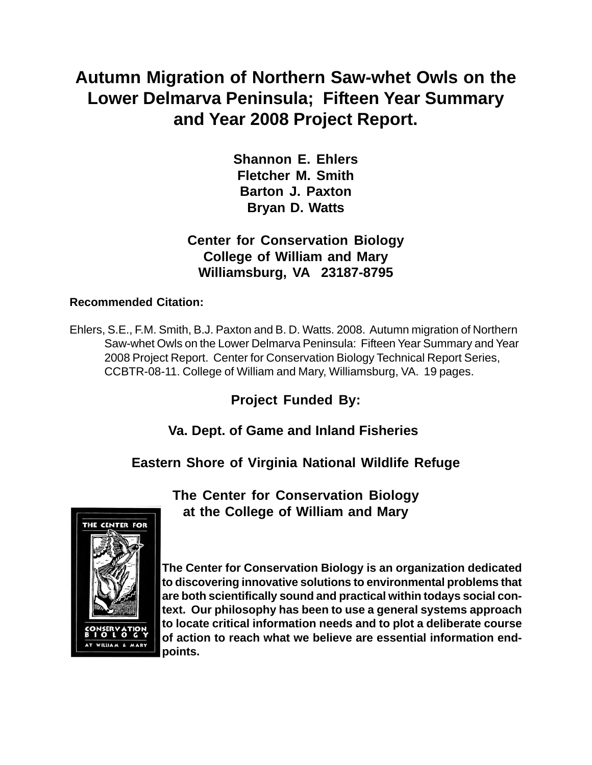# **Autumn Migration of Northern Saw-whet Owls on the Lower Delmarva Peninsula; Fifteen Year Summary and Year 2008 Project Report.**

**Shannon E. Ehlers Fletcher M. Smith Barton J. Paxton Bryan D. Watts**

### **Center for Conservation Biology College of William and Mary Williamsburg, VA 23187-8795**

#### **Recommended Citation:**

Ehlers, S.E., F.M. Smith, B.J. Paxton and B. D. Watts. 2008. Autumn migration of Northern Saw-whet Owls on the Lower Delmarva Peninsula: Fifteen Year Summary and Year 2008 Project Report. Center for Conservation Biology Technical Report Series, CCBTR-08-11. College of William and Mary, Williamsburg, VA. 19 pages.

**Project Funded By:**

 **Va. Dept. of Game and Inland Fisheries**

**Eastern Shore of Virginia National Wildlife Refuge**

THE CENTER FOR WILLIAM & MARY

**The Center for Conservation Biology at the College of William and Mary**

**The Center for Conservation Biology is an organization dedicated to discovering innovative solutions to environmental problems that are both scientifically sound and practical within todays social context. Our philosophy has been to use a general systems approach to locate critical information needs and to plot a deliberate course of action to reach what we believe are essential information endpoints.**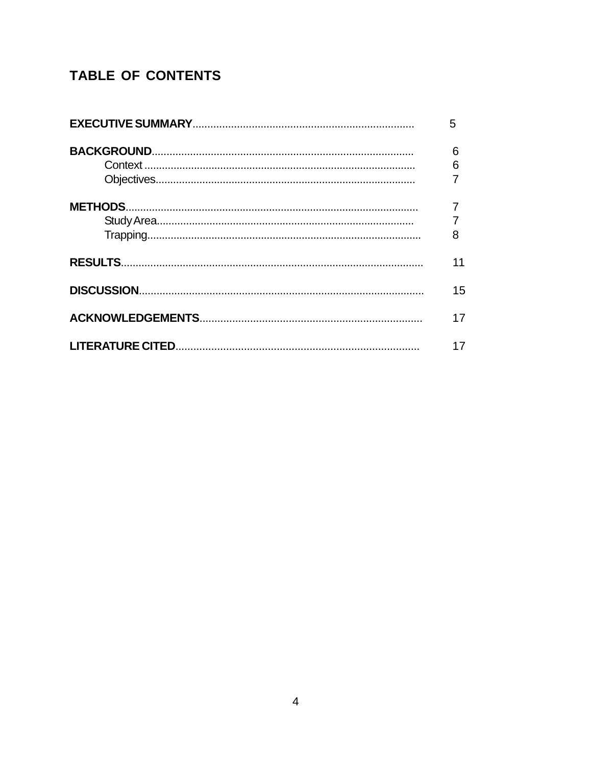# **TABLE OF CONTENTS**

| 5  |
|----|
| 6  |
| 6  |
|    |
|    |
|    |
| 8  |
| 11 |
| 15 |
| 17 |
| 17 |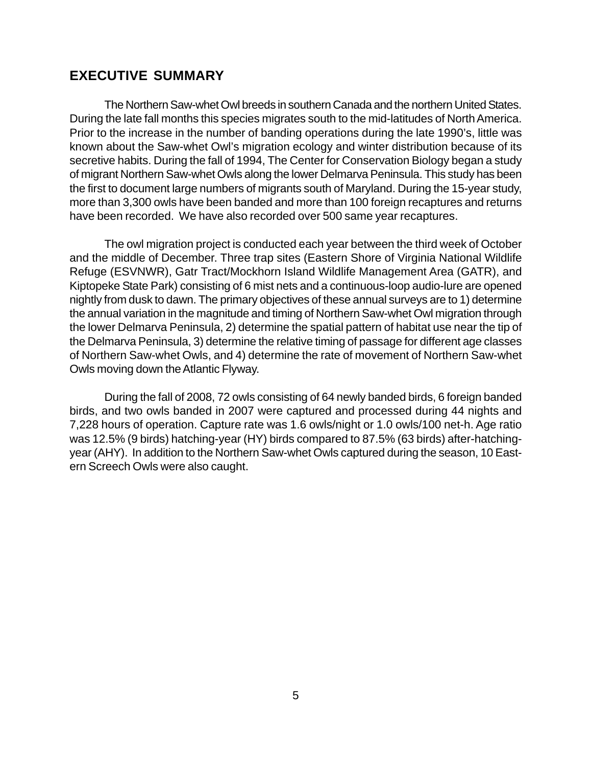#### **EXECUTIVE SUMMARY**

The Northern Saw-whet Owl breeds in southern Canada and the northern United States. During the late fall months this species migrates south to the mid-latitudes of North America. Prior to the increase in the number of banding operations during the late 1990's, little was known about the Saw-whet Owl's migration ecology and winter distribution because of its secretive habits. During the fall of 1994, The Center for Conservation Biology began a study of migrant Northern Saw-whet Owls along the lower Delmarva Peninsula. This study has been the first to document large numbers of migrants south of Maryland. During the 15-year study, more than 3,300 owls have been banded and more than 100 foreign recaptures and returns have been recorded. We have also recorded over 500 same year recaptures.

The owl migration project is conducted each year between the third week of October and the middle of December. Three trap sites (Eastern Shore of Virginia National Wildlife Refuge (ESVNWR), Gatr Tract/Mockhorn Island Wildlife Management Area (GATR), and Kiptopeke State Park) consisting of 6 mist nets and a continuous-loop audio-lure are opened nightly from dusk to dawn. The primary objectives of these annual surveys are to 1) determine the annual variation in the magnitude and timing of Northern Saw-whet Owl migration through the lower Delmarva Peninsula, 2) determine the spatial pattern of habitat use near the tip of the Delmarva Peninsula, 3) determine the relative timing of passage for different age classes of Northern Saw-whet Owls, and 4) determine the rate of movement of Northern Saw-whet Owls moving down the Atlantic Flyway.

During the fall of 2008, 72 owls consisting of 64 newly banded birds, 6 foreign banded birds, and two owls banded in 2007 were captured and processed during 44 nights and 7,228 hours of operation. Capture rate was 1.6 owls/night or 1.0 owls/100 net-h. Age ratio was 12.5% (9 birds) hatching-year (HY) birds compared to 87.5% (63 birds) after-hatchingyear (AHY). In addition to the Northern Saw-whet Owls captured during the season, 10 Eastern Screech Owls were also caught.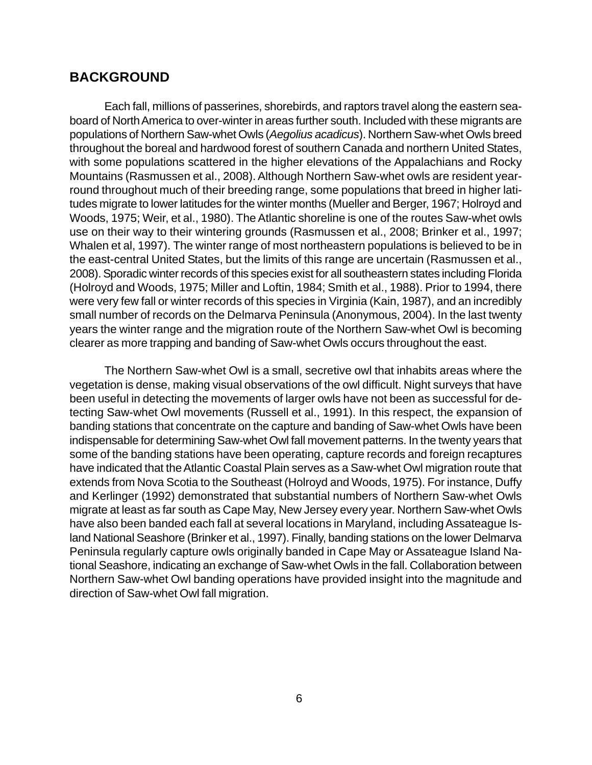#### **BACKGROUND**

Each fall, millions of passerines, shorebirds, and raptors travel along the eastern seaboard of North America to over-winter in areas further south. Included with these migrants are populations of Northern Saw-whet Owls (*Aegolius acadicus*). Northern Saw-whet Owls breed throughout the boreal and hardwood forest of southern Canada and northern United States, with some populations scattered in the higher elevations of the Appalachians and Rocky Mountains (Rasmussen et al., 2008). Although Northern Saw-whet owls are resident yearround throughout much of their breeding range, some populations that breed in higher latitudes migrate to lower latitudes for the winter months (Mueller and Berger, 1967; Holroyd and Woods, 1975; Weir, et al., 1980). The Atlantic shoreline is one of the routes Saw-whet owls use on their way to their wintering grounds (Rasmussen et al., 2008; Brinker et al., 1997; Whalen et al, 1997). The winter range of most northeastern populations is believed to be in the east-central United States, but the limits of this range are uncertain (Rasmussen et al., 2008). Sporadic winter records of this species exist for all southeastern states including Florida (Holroyd and Woods, 1975; Miller and Loftin, 1984; Smith et al., 1988). Prior to 1994, there were very few fall or winter records of this species in Virginia (Kain, 1987), and an incredibly small number of records on the Delmarva Peninsula (Anonymous, 2004). In the last twenty years the winter range and the migration route of the Northern Saw-whet Owl is becoming clearer as more trapping and banding of Saw-whet Owls occurs throughout the east.

The Northern Saw-whet Owl is a small, secretive owl that inhabits areas where the vegetation is dense, making visual observations of the owl difficult. Night surveys that have been useful in detecting the movements of larger owls have not been as successful for detecting Saw-whet Owl movements (Russell et al., 1991). In this respect, the expansion of banding stations that concentrate on the capture and banding of Saw-whet Owls have been indispensable for determining Saw-whet Owl fall movement patterns. In the twenty years that some of the banding stations have been operating, capture records and foreign recaptures have indicated that the Atlantic Coastal Plain serves as a Saw-whet Owl migration route that extends from Nova Scotia to the Southeast (Holroyd and Woods, 1975). For instance, Duffy and Kerlinger (1992) demonstrated that substantial numbers of Northern Saw-whet Owls migrate at least as far south as Cape May, New Jersey every year. Northern Saw-whet Owls have also been banded each fall at several locations in Maryland, including Assateague Island National Seashore (Brinker et al., 1997). Finally, banding stations on the lower Delmarva Peninsula regularly capture owls originally banded in Cape May or Assateague Island National Seashore, indicating an exchange of Saw-whet Owls in the fall. Collaboration between Northern Saw-whet Owl banding operations have provided insight into the magnitude and direction of Saw-whet Owl fall migration.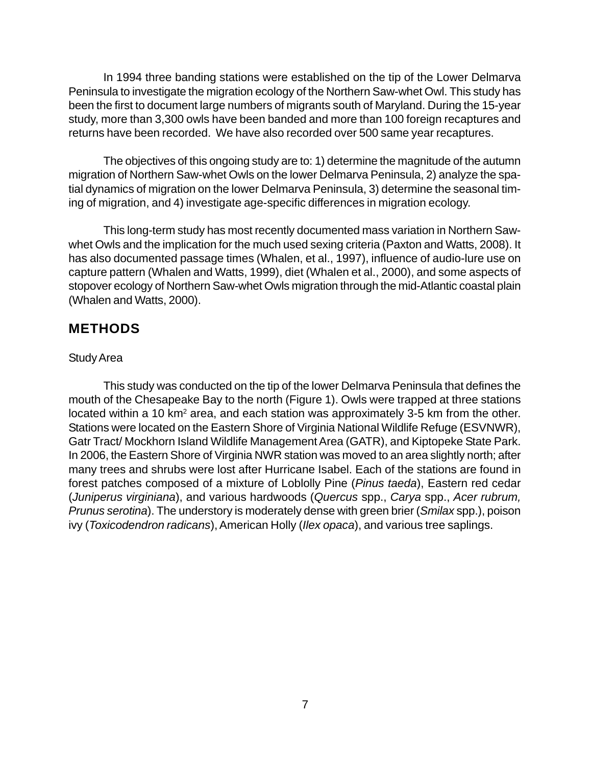In 1994 three banding stations were established on the tip of the Lower Delmarva Peninsula to investigate the migration ecology of the Northern Saw-whet Owl. This study has been the first to document large numbers of migrants south of Maryland. During the 15-year study, more than 3,300 owls have been banded and more than 100 foreign recaptures and returns have been recorded. We have also recorded over 500 same year recaptures.

The objectives of this ongoing study are to: 1) determine the magnitude of the autumn migration of Northern Saw-whet Owls on the lower Delmarva Peninsula, 2) analyze the spatial dynamics of migration on the lower Delmarva Peninsula, 3) determine the seasonal timing of migration, and 4) investigate age-specific differences in migration ecology.

This long-term study has most recently documented mass variation in Northern Sawwhet Owls and the implication for the much used sexing criteria (Paxton and Watts, 2008). It has also documented passage times (Whalen, et al., 1997), influence of audio-lure use on capture pattern (Whalen and Watts, 1999), diet (Whalen et al., 2000), and some aspects of stopover ecology of Northern Saw-whet Owls migration through the mid-Atlantic coastal plain (Whalen and Watts, 2000).

#### **METHODS**

#### Study Area

This study was conducted on the tip of the lower Delmarva Peninsula that defines the mouth of the Chesapeake Bay to the north (Figure 1). Owls were trapped at three stations located within a 10 km<sup>2</sup> area, and each station was approximately 3-5 km from the other. Stations were located on the Eastern Shore of Virginia National Wildlife Refuge (ESVNWR), Gatr Tract/ Mockhorn Island Wildlife Management Area (GATR), and Kiptopeke State Park. In 2006, the Eastern Shore of Virginia NWR station was moved to an area slightly north; after many trees and shrubs were lost after Hurricane Isabel. Each of the stations are found in forest patches composed of a mixture of Loblolly Pine (*Pinus taeda*), Eastern red cedar (*Juniperus virginiana*), and various hardwoods (*Quercus* spp., *Carya* spp., *Acer rubrum, Prunus serotina*). The understory is moderately dense with green brier (*Smilax* spp.), poison ivy (*Toxicodendron radicans*), American Holly (*Ilex opaca*), and various tree saplings.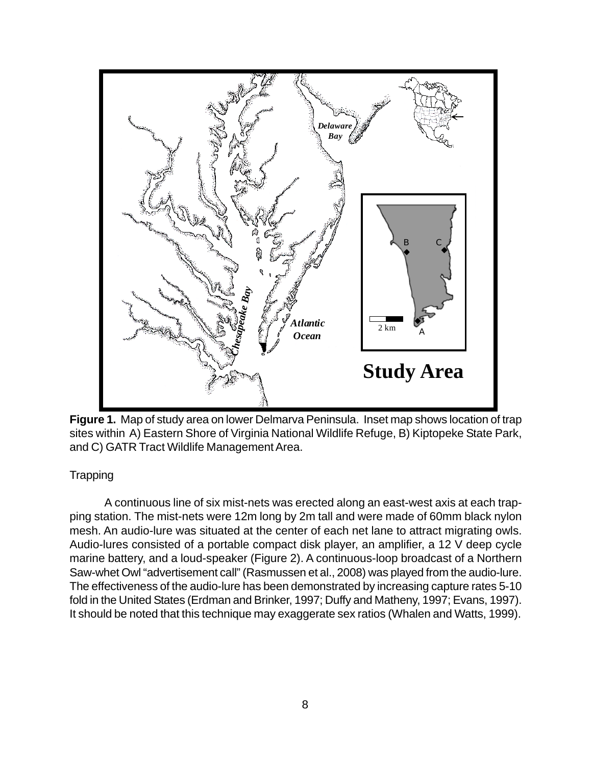

**Figure 1.**Map of study area on lower Delmarva Peninsula. Inset map shows location of trap sites within A) Eastern Shore of Virginia National Wildlife Refuge, B) Kiptopeke State Park, and C) GATR Tract Wildlife Management Area.

#### **Trapping**

A continuous line of six mist-nets was erected along an east-west axis at each trapping station. The mist-nets were 12m long by 2m tall and were made of 60mm black nylon mesh. An audio-lure was situated at the center of each net lane to attract migrating owls. Audio-lures consisted of a portable compact disk player, an amplifier, a 12 V deep cycle marine battery, and a loud-speaker (Figure 2). A continuous-loop broadcast of a Northern Saw-whet Owl "advertisement call" (Rasmussen et al., 2008) was played from the audio-lure. The effectiveness of the audio-lure has been demonstrated by increasing capture rates 5-10 fold in the United States (Erdman and Brinker, 1997; Duffy and Matheny, 1997; Evans, 1997). It should be noted that this technique may exaggerate sex ratios (Whalen and Watts, 1999).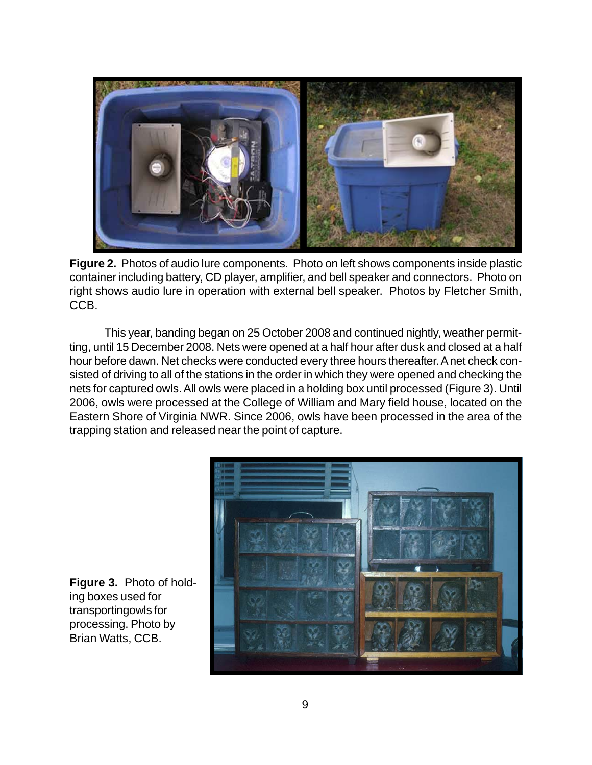

**Figure 2.** Photos of audio lure components. Photo on left shows components inside plastic container including battery, CD player, amplifier, and bell speaker and connectors. Photo on right shows audio lure in operation with external bell speaker. Photos by Fletcher Smith, CCB.

This year, banding began on 25 October 2008 and continued nightly, weather permitting, until 15 December 2008. Nets were opened at a half hour after dusk and closed at a half hour before dawn. Net checks were conducted every three hours thereafter. A net check consisted of driving to all of the stations in the order in which they were opened and checking the nets for captured owls. All owls were placed in a holding box until processed (Figure 3). Until 2006, owls were processed at the College of William and Mary field house, located on the Eastern Shore of Virginia NWR. Since 2006, owls have been processed in the area of the trapping station and released near the point of capture.



**Figure 3.** Photo of holding boxes used for transportingowls for processing. Photo by Brian Watts, CCB.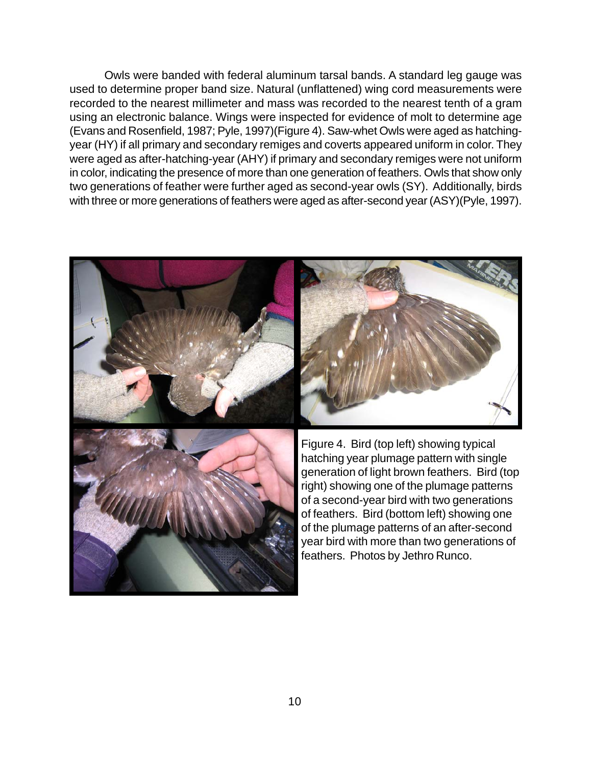Owls were banded with federal aluminum tarsal bands. A standard leg gauge was used to determine proper band size. Natural (unflattened) wing cord measurements were recorded to the nearest millimeter and mass was recorded to the nearest tenth of a gram using an electronic balance. Wings were inspected for evidence of molt to determine age (Evans and Rosenfield, 1987; Pyle, 1997)(Figure 4). Saw-whet Owls were aged as hatchingyear (HY) if all primary and secondary remiges and coverts appeared uniform in color. They were aged as after-hatching-year (AHY) if primary and secondary remiges were not uniform in color, indicating the presence of more than one generation of feathers. Owls that show only two generations of feather were further aged as second-year owls (SY). Additionally, birds with three or more generations of feathers were aged as after-second year (ASY)(Pyle, 1997).

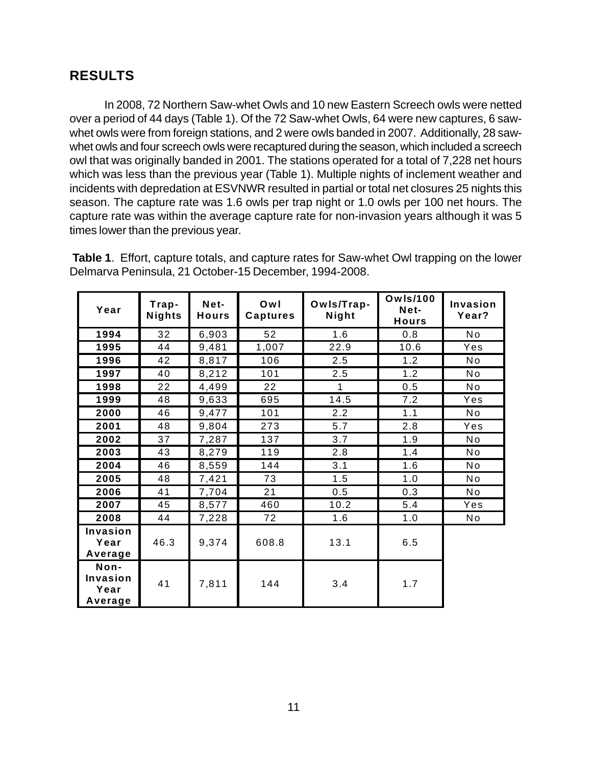# **RESULTS**

In 2008, 72 Northern Saw-whet Owls and 10 new Eastern Screech owls were netted over a period of 44 days (Table 1). Of the 72 Saw-whet Owls, 64 were new captures, 6 sawwhet owls were from foreign stations, and 2 were owls banded in 2007. Additionally, 28 sawwhet owls and four screech owls were recaptured during the season, which included a screech owl that was originally banded in 2001. The stations operated for a total of 7,228 net hours which was less than the previous year (Table 1). Multiple nights of inclement weather and incidents with depredation at ESVNWR resulted in partial or total net closures 25 nights this season. The capture rate was 1.6 owls per trap night or 1.0 owls per 100 net hours. The capture rate was within the average capture rate for non-invasion years although it was 5 times lower than the previous year.

**Table 1**. Effort, capture totals, and capture rates for Saw-whet Owl trapping on the lower Delmarva Peninsula, 21 October-15 December, 1994-2008.

| Year                                | Trap-<br>Nights | Net-<br><b>Hours</b> | Owl<br><b>Captures</b> | Owls/Trap-<br>Night | <b>Owls/100</b><br>Net-<br><b>Hours</b> | Invasion<br>Year? |
|-------------------------------------|-----------------|----------------------|------------------------|---------------------|-----------------------------------------|-------------------|
| 1994                                | 32              | 6,903                | 52                     | 1.6                 | 0.8                                     | No                |
| 1995                                | 44              | 9,481                | 1,007                  | 22.9                | 10.6                                    | Yes               |
| 1996                                | 42              | 8,817                | 106                    | 2.5                 | 1.2                                     | <b>No</b>         |
| 1997                                | 40              | 8,212                | 101                    | 2.5                 | 1.2                                     | No                |
| 1998                                | 22              | 4,499                | 22                     | 1                   | 0.5                                     | No                |
| 1999                                | 48              | 9,633                | 695                    | 14.5                | 7.2                                     | Yes               |
| 2000                                | 46              | 9,477                | 101                    | 2.2                 | 1.1                                     | <b>No</b>         |
| 2001                                | 48              | 9,804                | 273                    | 5.7                 | 2.8                                     | Yes               |
| 2002                                | 37              | 7,287                | 137                    | 3.7                 | 1.9                                     | No                |
| 2003                                | 43              | 8,279                | 119                    | 2.8                 | 1.4                                     | No                |
| 2004                                | 46              | 8,559                | 144                    | 3.1                 | 1.6                                     | No                |
| 2005                                | 48              | 7,421                | 73                     | 1.5                 | 1.0                                     | <b>No</b>         |
| 2006                                | 41              | 7,704                | 21                     | 0.5                 | 0.3                                     | No                |
| 2007                                | 45              | 8,577                | 460                    | 10.2                | 5.4                                     | Yes               |
| 2008                                | 44              | 7,228                | 72                     | 1.6                 | 1.0                                     | No                |
| Invasion<br>Year<br>Average         | 46.3            | 9,374                | 608.8                  | 13.1                | 6.5                                     |                   |
| Non-<br>Invasion<br>Year<br>Average | 41              | 7,811                | 144                    | 3.4                 | 1.7                                     |                   |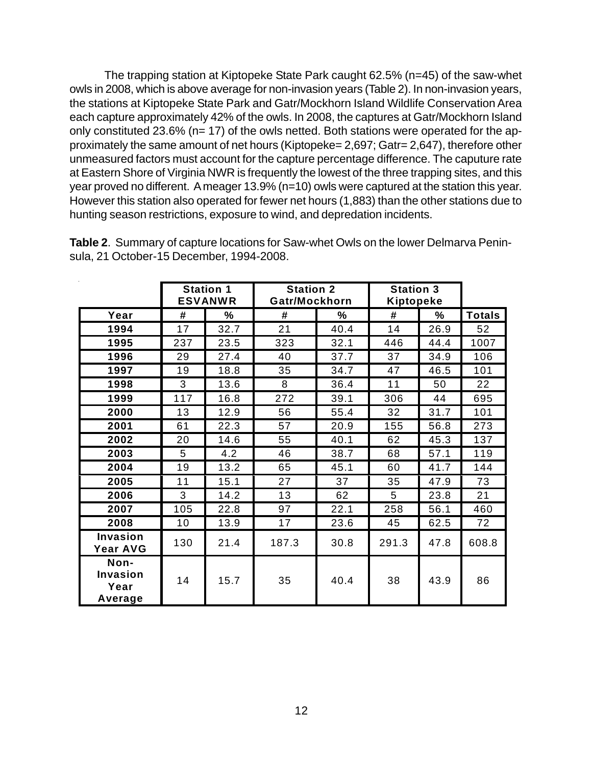The trapping station at Kiptopeke State Park caught 62.5% (n=45) of the saw-whet owls in 2008, which is above average for non-invasion years (Table 2). In non-invasion years, the stations at Kiptopeke State Park and Gatr/Mockhorn Island Wildlife Conservation Area each capture approximately 42% of the owls. In 2008, the captures at Gatr/Mockhorn Island only constituted 23.6% (n= 17) of the owls netted. Both stations were operated for the approximately the same amount of net hours (Kiptopeke= 2,697; Gatr= 2,647), therefore other unmeasured factors must account for the capture percentage difference. The caputure rate at Eastern Shore of Virginia NWR is frequently the lowest of the three trapping sites, and this year proved no different. A meager 13.9% (n=10) owls were captured at the station this year. However this station also operated for fewer net hours (1,883) than the other stations due to hunting season restrictions, exposure to wind, and depredation incidents.

|                                            | <b>Station 1</b><br><b>ESVANWR</b> |      | <b>Station 2</b><br>Gatr/Mockhorn |      | <b>Station 3</b><br>Kiptopeke |      |               |
|--------------------------------------------|------------------------------------|------|-----------------------------------|------|-------------------------------|------|---------------|
| Year                                       | #                                  | ℅    | #                                 | ℅    | #                             | ℅    | <b>Totals</b> |
| 1994                                       | 17                                 | 32.7 | 21                                | 40.4 | 14                            | 26.9 | 52            |
| 1995                                       | 237                                | 23.5 | 323                               | 32.1 | 446                           | 44.4 | 1007          |
| 1996                                       | 29                                 | 27.4 | 40                                | 37.7 | 37                            | 34.9 | 106           |
| 1997                                       | 19                                 | 18.8 | 35                                | 34.7 | 47                            | 46.5 | 101           |
| 1998                                       | 3                                  | 13.6 | 8                                 | 36.4 | 11                            | 50   | 22            |
| 1999                                       | 117                                | 16.8 | 272                               | 39.1 | 306                           | 44   | 695           |
| 2000                                       | 13                                 | 12.9 | 56                                | 55.4 | 32                            | 31.7 | 101           |
| 2001                                       | 61                                 | 22.3 | 57                                | 20.9 | 155                           | 56.8 | 273           |
| 2002                                       | 20                                 | 14.6 | 55                                | 40.1 | 62                            | 45.3 | 137           |
| 2003                                       | 5                                  | 4.2  | 46                                | 38.7 | 68                            | 57.1 | 119           |
| 2004                                       | 19                                 | 13.2 | 65                                | 45.1 | 60                            | 41.7 | 144           |
| 2005                                       | 11                                 | 15.1 | 27                                | 37   | 35                            | 47.9 | 73            |
| 2006                                       | 3                                  | 14.2 | 13                                | 62   | 5                             | 23.8 | 21            |
| 2007                                       | 105                                | 22.8 | 97                                | 22.1 | 258                           | 56.1 | 460           |
| 2008                                       | 10                                 | 13.9 | 17                                | 23.6 | 45                            | 62.5 | 72            |
| <b>Invasion</b><br><b>Year AVG</b>         | 130                                | 21.4 | 187.3                             | 30.8 | 291.3                         | 47.8 | 608.8         |
| Non-<br><b>Invasion</b><br>Year<br>Average | 14                                 | 15.7 | 35                                | 40.4 | 38                            | 43.9 | 86            |

**Table 2**. Summary of capture locations for Saw-whet Owls on the lower Delmarva Peninsula, 21 October-15 December, 1994-2008.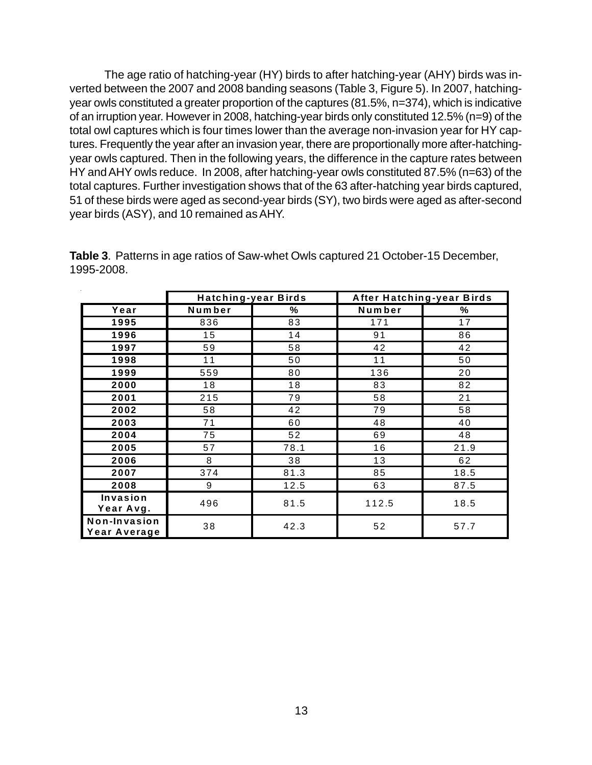The age ratio of hatching-year (HY) birds to after hatching-year (AHY) birds was inverted between the 2007 and 2008 banding seasons (Table 3, Figure 5). In 2007, hatchingyear owls constituted a greater proportion of the captures (81.5%, n=374), which is indicative of an irruption year. However in 2008, hatching-year birds only constituted 12.5% (n=9) of the total owl captures which is four times lower than the average non-invasion year for HY captures. Frequently the year after an invasion year, there are proportionally more after-hatchingyear owls captured. Then in the following years, the difference in the capture rates between HY and AHY owls reduce. In 2008, after hatching-year owls constituted 87.5% (n=63) of the total captures. Further investigation shows that of the 63 after-hatching year birds captured, 51 of these birds were aged as second-year birds (SY), two birds were aged as after-second year birds (ASY), and 10 remained as AHY.

|                              |        | <b>Hatching-year Birds</b> | After Hatching-year Birds |      |  |
|------------------------------|--------|----------------------------|---------------------------|------|--|
| Year                         | Number | ℅                          | Number                    | %    |  |
| 1995                         | 836    | 83                         | 171                       | 17   |  |
| 1996                         | 15     | 14                         | 91                        | 86   |  |
| 1997                         | 59     | 58                         | 42                        | 42   |  |
| 1998                         | 11     | 50                         | 11                        | 50   |  |
| 1999                         | 559    | 80                         | 136                       | 20   |  |
| 2000                         | 18     | 18                         | 83                        | 82   |  |
| 2001                         | 215    | 79                         | 58                        | 21   |  |
| 2002                         | 58     | 42                         | 79                        | 58   |  |
| 2003                         | 71     | 60                         | 48                        | 40   |  |
| 2004                         | 75     | 52                         | 69                        | 48   |  |
| 2005                         | 57     | 78.1                       | 16                        | 21.9 |  |
| 2006                         | 8      | 38                         | 13                        | 62   |  |
| 2007                         | 374    | 81.3                       | 85                        | 18.5 |  |
| 2008                         | 9      | 12.5                       | 63                        | 87.5 |  |
| Invasion<br>Year Avg.        | 496    | 81.5                       | 112.5                     | 18.5 |  |
| Non-Invasion<br>Year Average | 38     | 42.3                       | 52                        | 57.7 |  |

**Table 3**. Patterns in age ratios of Saw-whet Owls captured 21 October-15 December, 1995-2008.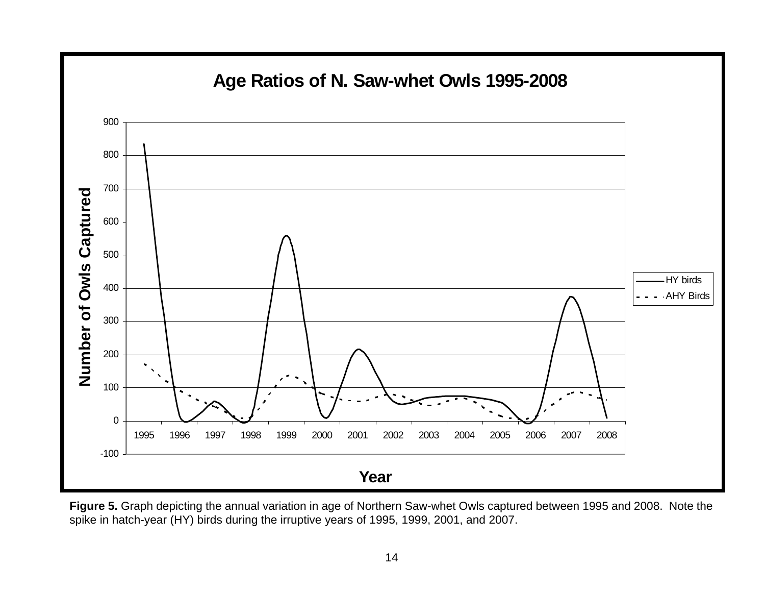

**Figure 5.** Graph depicting the annual variation in age of Northern Saw-whet Owls captured between 1995 and 2008. Note the spike in hatch-year (HY) birds during the irruptive years of 1995, 1999, 2001, and 2007.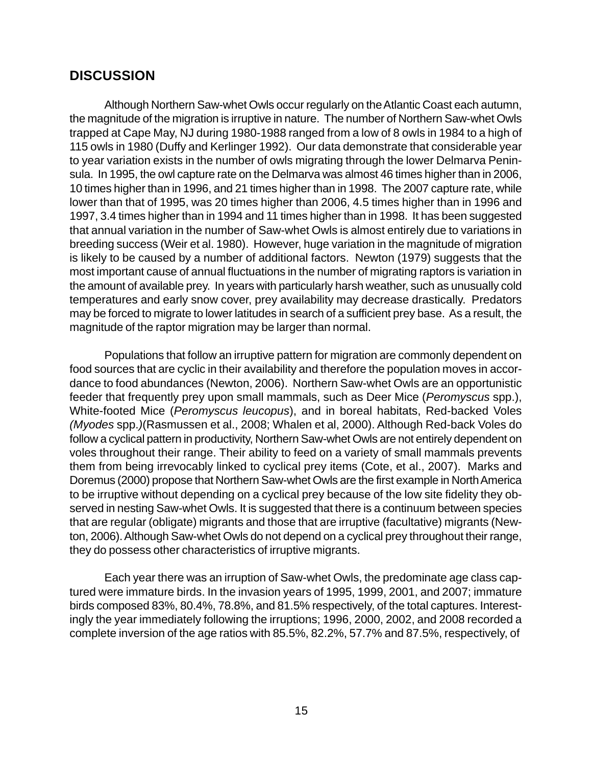### **DISCUSSION**

Although Northern Saw-whet Owls occur regularly on the Atlantic Coast each autumn, the magnitude of the migration is irruptive in nature. The number of Northern Saw-whet Owls trapped at Cape May, NJ during 1980-1988 ranged from a low of 8 owls in 1984 to a high of 115 owls in 1980 (Duffy and Kerlinger 1992). Our data demonstrate that considerable year to year variation exists in the number of owls migrating through the lower Delmarva Peninsula. In 1995, the owl capture rate on the Delmarva was almost 46 times higher than in 2006, 10 times higher than in 1996, and 21 times higher than in 1998. The 2007 capture rate, while lower than that of 1995, was 20 times higher than 2006, 4.5 times higher than in 1996 and 1997, 3.4 times higher than in 1994 and 11 times higher than in 1998. It has been suggested that annual variation in the number of Saw-whet Owls is almost entirely due to variations in breeding success (Weir et al. 1980). However, huge variation in the magnitude of migration is likely to be caused by a number of additional factors. Newton (1979) suggests that the most important cause of annual fluctuations in the number of migrating raptors is variation in the amount of available prey. In years with particularly harsh weather, such as unusually cold temperatures and early snow cover, prey availability may decrease drastically. Predators may be forced to migrate to lower latitudes in search of a sufficient prey base. As a result, the magnitude of the raptor migration may be larger than normal.

Populations that follow an irruptive pattern for migration are commonly dependent on food sources that are cyclic in their availability and therefore the population moves in accordance to food abundances (Newton, 2006). Northern Saw-whet Owls are an opportunistic feeder that frequently prey upon small mammals, such as Deer Mice (*Peromyscus* spp.), White-footed Mice (*Peromyscus leucopus*), and in boreal habitats, Red-backed Voles *(Myodes* spp.*)*(Rasmussen et al., 2008; Whalen et al, 2000). Although Red-back Voles do follow a cyclical pattern in productivity, Northern Saw-whet Owls are not entirely dependent on voles throughout their range. Their ability to feed on a variety of small mammals prevents them from being irrevocably linked to cyclical prey items (Cote, et al., 2007). Marks and Doremus (2000) propose that Northern Saw-whet Owls are the first example in North America to be irruptive without depending on a cyclical prey because of the low site fidelity they observed in nesting Saw-whet Owls. It is suggested that there is a continuum between species that are regular (obligate) migrants and those that are irruptive (facultative) migrants (Newton, 2006). Although Saw-whet Owls do not depend on a cyclical prey throughout their range, they do possess other characteristics of irruptive migrants.

Each year there was an irruption of Saw-whet Owls, the predominate age class captured were immature birds. In the invasion years of 1995, 1999, 2001, and 2007; immature birds composed 83%, 80.4%, 78.8%, and 81.5% respectively, of the total captures. Interestingly the year immediately following the irruptions; 1996, 2000, 2002, and 2008 recorded a complete inversion of the age ratios with 85.5%, 82.2%, 57.7% and 87.5%, respectively, of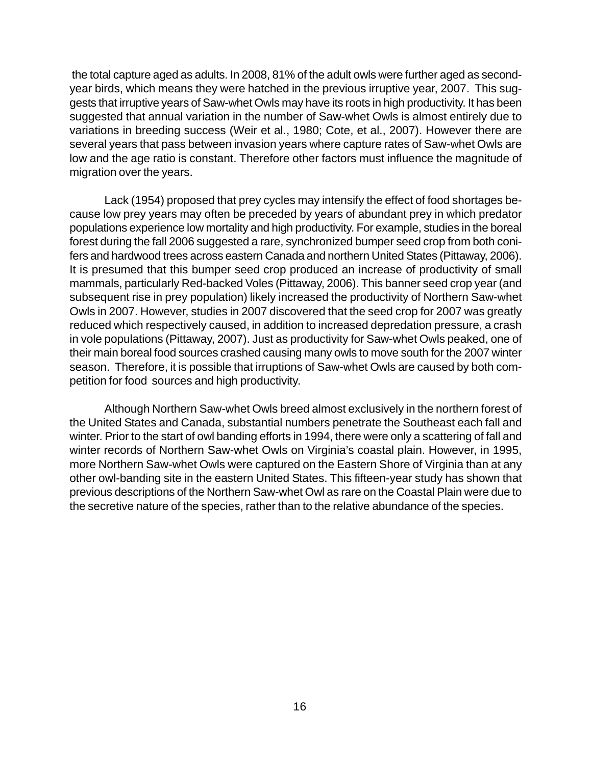the total capture aged as adults. In 2008, 81% of the adult owls were further aged as secondyear birds, which means they were hatched in the previous irruptive year, 2007. This suggests that irruptive years of Saw-whet Owls may have its roots in high productivity. It has been suggested that annual variation in the number of Saw-whet Owls is almost entirely due to variations in breeding success (Weir et al., 1980; Cote, et al., 2007). However there are several years that pass between invasion years where capture rates of Saw-whet Owls are low and the age ratio is constant. Therefore other factors must influence the magnitude of migration over the years.

Lack (1954) proposed that prey cycles may intensify the effect of food shortages because low prey years may often be preceded by years of abundant prey in which predator populations experience low mortality and high productivity. For example, studies in the boreal forest during the fall 2006 suggested a rare, synchronized bumper seed crop from both conifers and hardwood trees across eastern Canada and northern United States (Pittaway, 2006). It is presumed that this bumper seed crop produced an increase of productivity of small mammals, particularly Red-backed Voles (Pittaway, 2006). This banner seed crop year (and subsequent rise in prey population) likely increased the productivity of Northern Saw-whet Owls in 2007. However, studies in 2007 discovered that the seed crop for 2007 was greatly reduced which respectively caused, in addition to increased depredation pressure, a crash in vole populations (Pittaway, 2007). Just as productivity for Saw-whet Owls peaked, one of their main boreal food sources crashed causing many owls to move south for the 2007 winter season. Therefore, it is possible that irruptions of Saw-whet Owls are caused by both competition for food sources and high productivity.

Although Northern Saw-whet Owls breed almost exclusively in the northern forest of the United States and Canada, substantial numbers penetrate the Southeast each fall and winter. Prior to the start of owl banding efforts in 1994, there were only a scattering of fall and winter records of Northern Saw-whet Owls on Virginia's coastal plain. However, in 1995, more Northern Saw-whet Owls were captured on the Eastern Shore of Virginia than at any other owl-banding site in the eastern United States. This fifteen-year study has shown that previous descriptions of the Northern Saw-whet Owl as rare on the Coastal Plain were due to the secretive nature of the species, rather than to the relative abundance of the species.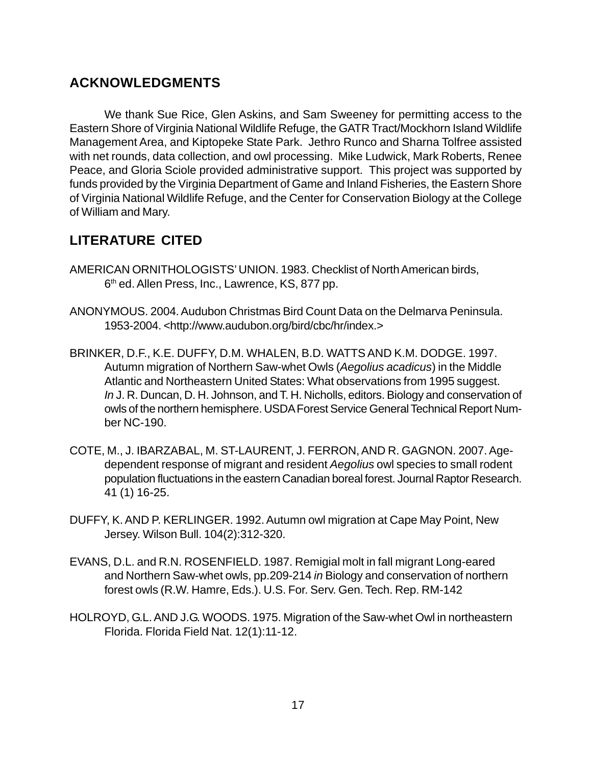### **ACKNOWLEDGMENTS**

We thank Sue Rice, Glen Askins, and Sam Sweeney for permitting access to the Eastern Shore of Virginia National Wildlife Refuge, the GATR Tract/Mockhorn Island Wildlife Management Area, and Kiptopeke State Park. Jethro Runco and Sharna Tolfree assisted with net rounds, data collection, and owl processing. Mike Ludwick, Mark Roberts, Renee Peace, and Gloria Sciole provided administrative support. This project was supported by funds provided by the Virginia Department of Game and Inland Fisheries, the Eastern Shore of Virginia National Wildlife Refuge, and the Center for Conservation Biology at the College of William and Mary.

## **LITERATURE CITED**

- AMERICAN ORNITHOLOGISTS' UNION. 1983. Checklist of North American birds, 6<sup>th</sup> ed. Allen Press, Inc., Lawrence, KS, 877 pp.
- ANONYMOUS. 2004. Audubon Christmas Bird Count Data on the Delmarva Peninsula. 1953-2004. <http://www.audubon.org/bird/cbc/hr/index.>
- BRINKER, D.F., K.E. DUFFY, D.M. WHALEN, B.D. WATTS AND K.M. DODGE. 1997. Autumn migration of Northern Saw-whet Owls (*Aegolius acadicus*) in the Middle Atlantic and Northeastern United States: What observations from 1995 suggest. *In* J. R. Duncan, D. H. Johnson, and T. H. Nicholls, editors. Biology and conservation of owls of the northern hemisphere. USDA Forest Service General Technical Report Number NC-190.
- COTE, M., J. IBARZABAL, M. ST-LAURENT, J. FERRON, AND R. GAGNON. 2007. Agedependent response of migrant and resident *Aegolius* owl species to small rodent population fluctuations in the eastern Canadian boreal forest. Journal Raptor Research. 41 (1) 16-25.
- DUFFY, K. AND P. KERLINGER. 1992. Autumn owl migration at Cape May Point, New Jersey. Wilson Bull. 104(2):312-320.
- EVANS, D.L. and R.N. ROSENFIELD. 1987. Remigial molt in fall migrant Long-eared and Northern Saw-whet owls, pp.209-214 *in* Biology and conservation of northern forest owls (R.W. Hamre, Eds.). U.S. For. Serv. Gen. Tech. Rep. RM-142
- HOLROYD, G.L. AND J.G. WOODS. 1975. Migration of the Saw-whet Owl in northeastern Florida. Florida Field Nat. 12(1):11-12.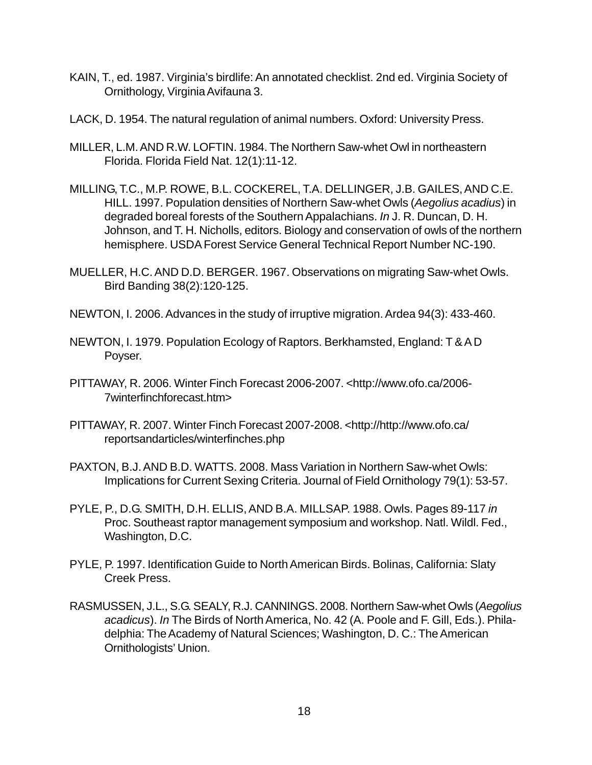- KAIN, T., ed. 1987. Virginia's birdlife: An annotated checklist. 2nd ed. Virginia Society of Ornithology, Virginia Avifauna 3.
- LACK, D. 1954. The natural regulation of animal numbers. Oxford: University Press.
- MILLER, L.M. AND R.W. LOFTIN. 1984. The Northern Saw-whet Owl in northeastern Florida. Florida Field Nat. 12(1):11-12.
- MILLING, T.C., M.P. ROWE, B.L. COCKEREL, T.A. DELLINGER, J.B. GAILES, AND C.E. HILL. 1997. Population densities of Northern Saw-whet Owls (*Aegolius acadius*) in degraded boreal forests of the Southern Appalachians. *In* J. R. Duncan, D. H. Johnson, and T. H. Nicholls, editors. Biology and conservation of owls of the northern hemisphere. USDA Forest Service General Technical Report Number NC-190.
- MUELLER, H.C. AND D.D. BERGER. 1967. Observations on migrating Saw-whet Owls. Bird Banding 38(2):120-125.
- NEWTON, I. 2006. Advances in the study of irruptive migration. Ardea 94(3): 433-460.
- NEWTON, I. 1979. Population Ecology of Raptors. Berkhamsted, England: T & A D Poyser.
- PITTAWAY, R. 2006. Winter Finch Forecast 2006-2007. <http://www.ofo.ca/2006- 7winterfinchforecast.htm>
- PITTAWAY, R. 2007. Winter Finch Forecast 2007-2008. <http://http://www.ofo.ca/ reportsandarticles/winterfinches.php
- PAXTON, B.J. AND B.D. WATTS. 2008. Mass Variation in Northern Saw-whet Owls: Implications for Current Sexing Criteria. Journal of Field Ornithology 79(1): 53-57.
- PYLE, P., D.G. SMITH, D.H. ELLIS, AND B.A. MILLSAP. 1988. Owls. Pages 89-117 *in* Proc. Southeast raptor management symposium and workshop. Natl. Wildl. Fed., Washington, D.C.
- PYLE, P. 1997. Identification Guide to North American Birds. Bolinas, California: Slaty Creek Press.
- RASMUSSEN, J.L., S.G. SEALY, R.J. CANNINGS. 2008. Northern Saw-whet Owls (*Aegolius acadicus*). *In* The Birds of North America, No. 42 (A. Poole and F. Gill, Eds.). Philadelphia: The Academy of Natural Sciences; Washington, D. C.: The American Ornithologists' Union.